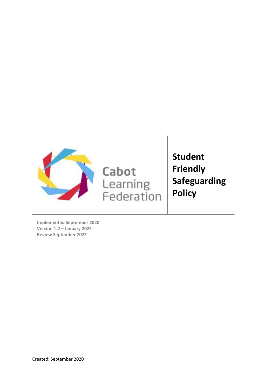

Cabot Learning<br>Federation **Student Friendly Safeguarding Policy**

**Implemented September 2020 Version 1.2 – January 2022 Review September 2022**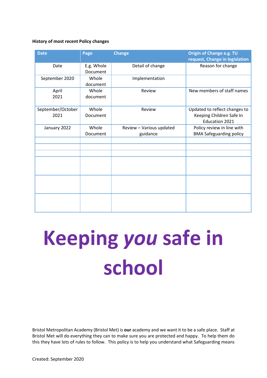### **History of most recent Policy changes**

| <b>Date</b>               | Page                   | <b>Change</b>                        | Origin of Change e.g. TU<br>request, Change in legislation                         |
|---------------------------|------------------------|--------------------------------------|------------------------------------------------------------------------------------|
| Date                      | E.g. Whole<br>Document | Detail of change                     | Reason for change                                                                  |
| September 2020            | Whole<br>document      | Implementation                       |                                                                                    |
| April<br>2021             | Whole<br>document      | Review                               | New members of staff names                                                         |
| September/October<br>2021 | Whole<br>Document      | Review                               | Updated to reflect changes to<br>Keeping Children Safe In<br><b>Education 2021</b> |
| January 2022              | Whole<br>Document      | Review - Various updated<br>guidance | Policy review in line with<br><b>BMA Safeguarding policy</b>                       |
|                           |                        |                                      |                                                                                    |
|                           |                        |                                      |                                                                                    |
|                           |                        |                                      |                                                                                    |
|                           |                        |                                      |                                                                                    |
|                           |                        |                                      |                                                                                    |

# **Keeping** *you* **safe in school**

Bristol Metropolitan Academy (Bristol Met) is **our** academy and we want it to be a safe place. Staff at Bristol Met will do everything they can to make sure you are protected and happy. To help them do this they have lots of rules to follow. This policy is to help you understand what Safeguarding means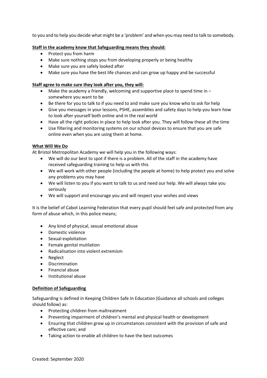to you and to help you decide what might be a 'problem' and when you may need to talk to somebody.

# **Staff in the academy know that Safeguarding means they should:**

- Protect you from harm
- Make sure nothing stops you from developing properly or being healthy
- Make sure you are safely looked after
- Make sure you have the best life chances and can grow up happy and be successful

# **Staff agree to make sure they look after you, they will:**

- Make the academy a friendly, welcoming and supportive place to spend time in somewhere you want to be
- Be there for you to talk to if you need to and make sure you know who to ask for help
- Give you messages in your lessons, PSHE, assemblies and safety days to help you learn how to look after yourself both online and in the real world
- Have all the right policies in place to help look after you. They will follow these all the time
- Use filtering and monitoring systems on our school devices to ensure that you are safe online even when you are using them at home.

# **What Will We Do**

At Bristol Metropolitan Academy we will help you in the following ways:

- We will do our best to spot if there is a problem. All of the staff in the academy have received safeguarding training to help us with this
- We will work with other people (including the people at home) to help protect you and solve any problems you may have
- We will listen to you if you want to talk to us and need our help. We will always take you seriously
- We will support and encourage you and will respect your wishes and views

It is the belief of Cabot Learning Federation that every pupil should feel safe and protected from any form of abuse which, in this police means;

- Any kind of physical, sexual emotional abuse
- Domestic violence
- Sexual exploitation
- Female genital mutilation
- Radicalisation into violent extremism
- Neglect
- Discrimination
- Financial abuse
- Institutional abuse

# **Definition of Safeguarding**

Safeguarding is defined in Keeping Children Safe In Education (Guidance all schools and colleges should follow) as:

- Protecting children from maltreatment
- Preventing impairment of children's mental and physical health or development
- Ensuring that children grow up in circumstances consistent with the provision of safe and effective care; and
- Taking action to enable all children to have the best outcomes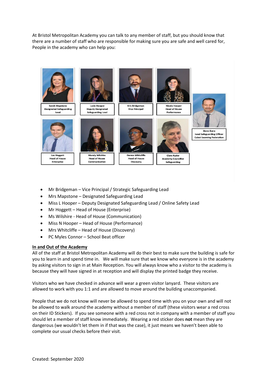At Bristol Metropolitan Academy you can talk to any member of staff, but you should know that there are a number of staff who are responsible for making sure you are safe and well cared for, People in the academy who can help you:



- Mr Bridgeman Vice Principal / Strategic Safeguarding Lead
- Mrs Mapstone Designated Safeguarding Lead
- Miss L Hooper Deputy Designated Safeguarding Lead / Online Safety Lead
- Mr Hoggett Head of House (Enterprise)
- Ms Wilshire Head of House (Communication)
- Miss N Hooper Head of House (Performance)
- Mrs Whitcliffe Head of House (Discovery)
- PC Myles Connor School Beat officer

# **In and Out of the Academy**

All of the staff at Bristol Metropolitan Academy will do their best to make sure the building is safe for you to learn in and spend time in. We will make sure that we know who everyone is in the academy by asking visitors to sign in at Main Reception. You will always know who a visitor to the academy is because they will have signed in at reception and will display the printed badge they receive.

Visitors who we have checked in advance will wear a green visitor lanyard. These visitors are allowed to work with you 1:1 and are allowed to move around the building unaccompanied.

People that we do not know will never be allowed to spend time with you on your own and will not be allowed to walk around the academy without a member of staff (these visitors wear a red cross on their ID Stickers). If you see someone with a red cross not in company with a member of staff you should let a member of staff know immediately. Wearing a red sticker does **not** mean they are dangerous (we wouldn't let them in if that was the case), it just means we haven't been able to complete our usual checks before their visit.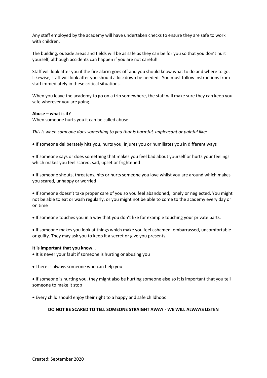Any staff employed by the academy will have undertaken checks to ensure they are safe to work with children.

The building, outside areas and fields will be as safe as they can be for you so that you don't hurt yourself, although accidents can happen if you are not careful!

Staff will look after you if the fire alarm goes off and you should know what to do and where to go. Likewise, staff will look after you should a lockdown be needed. You must follow instructions from staff immediately in these critical situations.

When you leave the academy to go on a trip somewhere, the staff will make sure they can keep you safe wherever you are going.

#### **Abuse – what is it?**

When someone hurts you it can be called abuse.

*This is when someone does something to you that is harmful, unpleasant or painful like:*

- If someone deliberately hits you, hurts you, injures you or humiliates you in different ways
- If someone says or does something that makes you feel bad about yourself or hurts your feelings which makes you feel scared, sad, upset or frightened

• If someone shouts, threatens, hits or hurts someone you love whilst you are around which makes you scared, unhappy or worried

• If someone doesn't take proper care of you so you feel abandoned, lonely or neglected. You might not be able to eat or wash regularly, or you might not be able to come to the academy every day or on time

• If someone touches you in a way that you don't like for example touching your private parts.

• If someone makes you look at things which make you feel ashamed, embarrassed, uncomfortable or guilty. They may ask you to keep it a secret or give you presents.

#### **It is important that you know…**

- It is never your fault if someone is hurting or abusing you
- There is always someone who can help you

• If someone is hurting you, they might also be hurting someone else so it is important that you tell someone to make it stop

• Every child should enjoy their right to a happy and safe childhood

#### **DO NOT BE SCARED TO TELL SOMEONE STRAIGHT AWAY - WE WILL ALWAYS LISTEN**